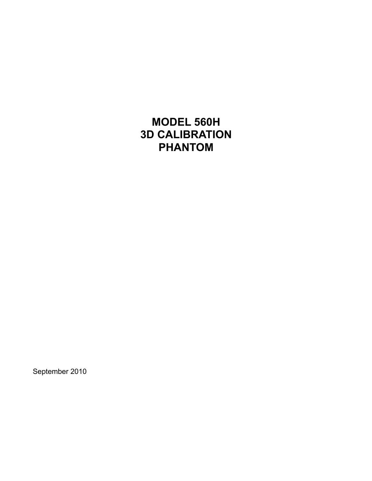**MODEL 560H 3D CALIBRATION PHANTOM** 

September 2010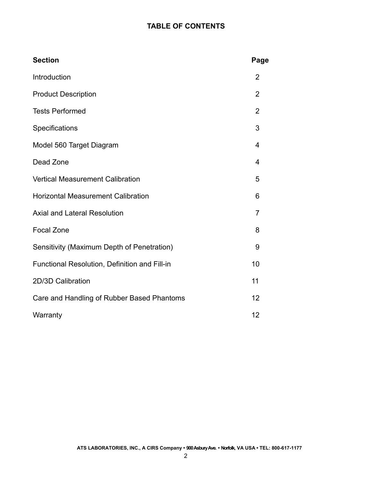# **TABLE OF CONTENTS**

| <b>Section</b>                                | Page           |
|-----------------------------------------------|----------------|
| Introduction                                  | $\overline{2}$ |
| <b>Product Description</b>                    | $\overline{2}$ |
| <b>Tests Performed</b>                        | $\overline{2}$ |
| Specifications                                | 3              |
| Model 560 Target Diagram                      | 4              |
| Dead Zone                                     | 4              |
| <b>Vertical Measurement Calibration</b>       | 5              |
| <b>Horizontal Measurement Calibration</b>     | 6              |
| <b>Axial and Lateral Resolution</b>           | 7              |
| <b>Focal Zone</b>                             | 8              |
| Sensitivity (Maximum Depth of Penetration)    | 9              |
| Functional Resolution, Definition and Fill-in | 10             |
| 2D/3D Calibration                             | 11             |
| Care and Handling of Rubber Based Phantoms    | 12             |
| Warranty                                      | 12             |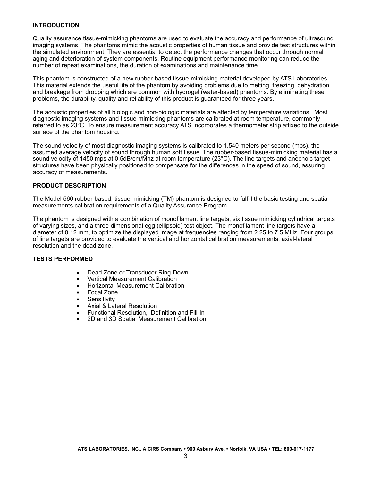# **INTRODUCTION**

Quality assurance tissue-mimicking phantoms are used to evaluate the accuracy and performance of ultrasound imaging systems. The phantoms mimic the acoustic properties of human tissue and provide test structures within the simulated environment. They are essential to detect the performance changes that occur through normal aging and deterioration of system components. Routine equipment performance monitoring can reduce the number of repeat examinations, the duration of examinations and maintenance time.

This phantom is constructed of a new rubber-based tissue-mimicking material developed by ATS Laboratories. This material extends the useful life of the phantom by avoiding problems due to melting, freezing, dehydration and breakage from dropping which are common with hydrogel (water-based) phantoms. By eliminating these problems, the durability, quality and reliability of this product is guaranteed for three years.

The acoustic properties of all biologic and non-biologic materials are affected by temperature variations. Most diagnostic imaging systems and tissue-mimicking phantoms are calibrated at room temperature, commonly referred to as 23°C. To ensure measurement accuracy ATS incorporates a thermometer strip affixed to the outside surface of the phantom housing.

The sound velocity of most diagnostic imaging systems is calibrated to 1,540 meters per second (mps), the assumed average velocity of sound through human soft tissue. The rubber-based tissue-mimicking material has a sound velocity of 1450 mps at 0.5dB/cm/Mhz at room temperature (23°C). The line targets and anechoic target structures have been physically positioned to compensate for the differences in the speed of sound, assuring accuracy of measurements.

# **PRODUCT DESCRIPTION**

The Model 560 rubber-based, tissue-mimicking (TM) phantom is designed to fulfill the basic testing and spatial measurements calibration requirements of a Quality Assurance Program.

The phantom is designed with a combination of monofilament line targets, six tissue mimicking cylindrical targets of varying sizes, and a three-dimensional egg (ellipsoid) test object. The monofilament line targets have a diameter of 0.12 mm, to optimize the displayed image at frequencies ranging from 2.25 to 7.5 MHz. Four groups of line targets are provided to evaluate the vertical and horizontal calibration measurements, axial-lateral resolution and the dead zone.

# **TESTS PERFORMED**

- Dead Zone or Transducer Ring-Down
- **•** Vertical Measurement Calibration
- **Horizontal Measurement Calibration**
- Focal Zone
- **■** Sensitivity
- Axial & Lateral Resolution
- **Functional Resolution, Definition and Fill-In**
- 2D and 3D Spatial Measurement Calibration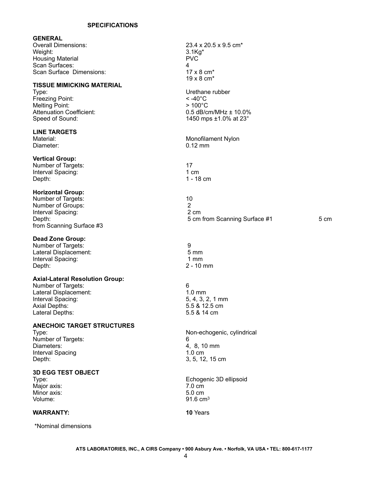#### **SPECIFICATIONS**

#### **GENERAL**

Overall Dimensions: 23.4 x 20.5 x 9.5 cm\* Weight: 3.1Kg\* Housing Material Scan Surfaces: 4 Scan Surface Dimensions: 17 x 8 cm<sup>\*</sup>

# **TISSUE MIMICKING MATERIAL**

Type:  $\qquad$  Urethane rubber<br>Freezing Point:  $\qquad \qquad$  Section 1.1  $\qquad \qquad$  Section 1.1  $\qquad \qquad$  Section 1.1  $\qquad \qquad$  Section 1.1  $\qquad \qquad$  Section 1.1  $\qquad \qquad$  Section 1.1  $\qquad \qquad$  Section 1.1  $\qquad \qquad$  Section 1.1  $\qquad \qquad$  Freezing Point: < -40°C<br>Melting Point: < -40°C<br>> 100°C Melting Point:

# **LINE TARGETS**

Diameter:

# **Vertical Group:**

Number of Targets: 17 Interval Spacing: 1 cm

# **Horizontal Group:**

Number of Targets: 10 Number of Groups: 2<br>
Interval Spacing: 2 cm<br>
2 cm Interval Spacing:<br>Depth: from Scanning Surface #3

# **Dead Zone Group:**

Number of Targets: 9 Lateral Displacement: 5 mm Interval Spacing: Depth: 2 - 10 mm

#### **Axial-Lateral Resolution Group:**

Number of Targets: 6 Lateral Displacement: 1.0 mm<br>
Interval Spacing: 1.0 mm<br>
1.0 mm<br>
5.4, 3, 2, 1 mm Interval Spacing: Axial Depths: 5.5 & 12.5 cm Lateral Depths: 5.5 & 14 cm

# **ANECHOIC TARGET STRUCTURES**

Number of Targets: 6 Diameters:  $\frac{3}{4}$ , 8, 10 mm Interval Spacing 1.0 cm Depth: 3, 5, 12, 15 cm

# **3D EGG TEST OBJECT**

Major axis: Minor axis: 5.0 cm Volume: 91.6 cm<sup>3</sup>

# **WARRANTY:** 10 Years

\*Nominal dimensions

19 x 8 cm\* Attenuation Coefficient:  $0.5$  dB/cm/MHz ± 10.0%<br>Speed of Sound:  $0.5$  1450 mps ±1.0% at 23° 1450 mps  $\pm 1.0$ % at 23 $^{\circ}$ Monofilament Nylon<br>0.12 mm Depth: 1 - 18 cm 5 cm from Scanning Surface #1 5 cm

Type: Non-echogenic, cylindrical

Echogenic 3D ellipsoid<br>7.0 cm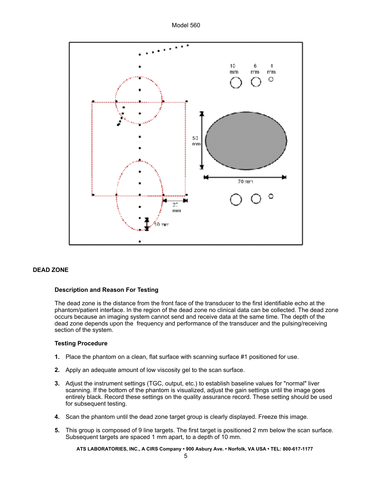Model 560



# **DEAD ZONE**

# **Description and Reason For Testing**

The dead zone is the distance from the front face of the transducer to the first identifiable echo at the phantom/patient interface. In the region of the dead zone no clinical data can be collected. The dead zone occurs because an imaging system cannot send and receive data at the same time. The depth of the dead zone depends upon the frequency and performance of the transducer and the pulsing/receiving section of the system.

#### **Testing Procedure**

- **1.** Place the phantom on a clean, flat surface with scanning surface #1 positioned for use.
- **2.** Apply an adequate amount of low viscosity gel to the scan surface.
- **3.** Adjust the instrument settings (TGC, output, etc.) to establish baseline values for "normal" liver scanning. If the bottom of the phantom is visualized, adjust the gain settings until the image goes entirely black. Record these settings on the quality assurance record. These setting should be used for subsequent testing.
- **4.** Scan the phantom until the dead zone target group is clearly displayed. Freeze this image.
- **5.** This group is composed of 9 line targets. The first target is positioned 2 mm below the scan surface. Subsequent targets are spaced 1 mm apart, to a depth of 10 mm.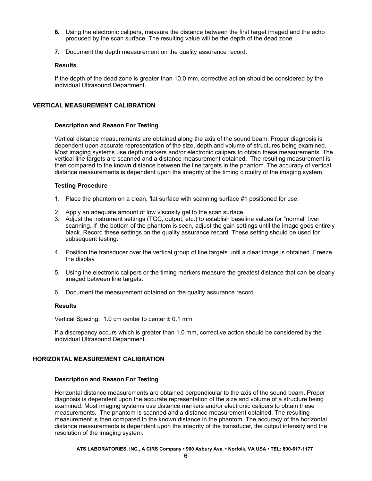- **6.** Using the electronic calipers, measure the distance between the first target imaged and the echo produced by the scan surface. The resulting value will be the depth of the dead zone.
- **7.** Document the depth measurement on the quality assurance record.

If the depth of the dead zone is greater than 10.0 mm, corrective action should be considered by the individual Ultrasound Department.

# **VERTICAL MEASUREMENT CALIBRATION**

# **Description and Reason For Testing**

Vertical distance measurements are obtained along the axis of the sound beam. Proper diagnosis is dependent upon accurate representation of the size, depth and volume of structures being examined. Most imaging systems use depth markers and/or electronic calipers to obtain these measurements. The vertical line targets are scanned and a distance measurement obtained. The resulting measurement is then compared to the known distance between the line targets in the phantom. The accuracy of vertical distance measurements is dependent upon the integrity of the timing circuitry of the imaging system.

# **Testing Procedure**

- 1. Place the phantom on a clean, flat surface with scanning surface #1 positioned for use.
- 2. Apply an adequate amount of low viscosity gel to the scan surface.
- 3. Adjust the instrument settings (TGC, output, etc.) to establish baseline values for "normal" liver scanning. If the bottom of the phantom is seen, adjust the gain settings until the image goes entirely black. Record these settings on the quality assurance record. These setting should be used for subsequent testing.
- 4. Position the transducer over the vertical group of line targets until a clear image is obtained. Freeze the display.
- 5. Using the electronic calipers or the timing markers measure the greatest distance that can be clearly imaged between line targets.
- 6. Document the measurement obtained on the quality assurance record.

# **Results**

Vertical Spacing: 1.0 cm center to center  $\pm$  0.1 mm

If a discrepancy occurs which is greater than 1.0 mm, corrective action should be considered by the individual Ultrasound Department.

# **HORIZONTAL MEASUREMENT CALIBRATION**

# **Description and Reason For Testing**

Horizontal distance measurements are obtained perpendicular to the axis of the sound beam. Proper diagnosis is dependent upon the accurate representation of the size and volume of a structure being examined. Most imaging systems use distance markers and/or electronic calipers to obtain these measurements. The phantom is scanned and a distance measurement obtained. The resulting measurement is then compared to the known distance in the phantom. The accuracy of the horizontal distance measurements is dependent upon the integrity of the transducer, the output intensity and the resolution of the imaging system.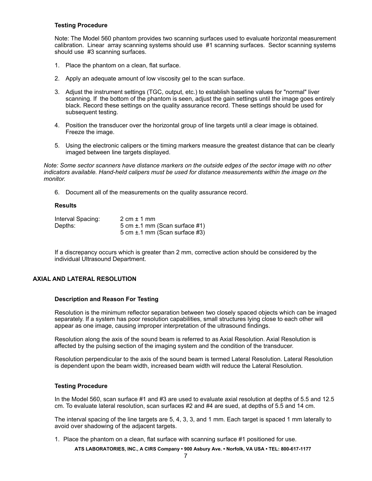# **Testing Procedure**

Note: The Model 560 phantom provides two scanning surfaces used to evaluate horizontal measurement calibration. Linear array scanning systems should use #1 scanning surfaces. Sector scanning systems should use #3 scanning surfaces.

- 1. Place the phantom on a clean, flat surface.
- 2. Apply an adequate amount of low viscosity gel to the scan surface.
- 3. Adjust the instrument settings (TGC, output, etc.) to establish baseline values for "normal" liver scanning. If the bottom of the phantom is seen, adjust the gain settings until the image goes entirely black. Record these settings on the quality assurance record. These settings should be used for subsequent testing.
- 4. Position the transducer over the horizontal group of line targets until a clear image is obtained. Freeze the image.
- 5. Using the electronic calipers or the timing markers measure the greatest distance that can be clearly imaged between line targets displayed.

*Note: Some sector scanners have distance markers on the outside edges of the sector image with no other indicators available. Hand-held calipers must be used for distance measurements within the image on the monitor.* 

6. Document all of the measurements on the quality assurance record.

# **Results**

| Interval Spacing: | $2 \text{ cm} \pm 1 \text{ mm}$    |
|-------------------|------------------------------------|
| Depths:           | 5 cm $\pm$ 1 mm (Scan surface #1)  |
|                   | 5 cm $\pm$ .1 mm (Scan surface #3) |

If a discrepancy occurs which is greater than 2 mm, corrective action should be considered by the individual Ultrasound Department.

# **AXIAL AND LATERAL RESOLUTION**

#### **Description and Reason For Testing**

Resolution is the minimum reflector separation between two closely spaced objects which can be imaged separately. If a system has poor resolution capabilities, small structures lying close to each other will appear as one image, causing improper interpretation of the ultrasound findings.

Resolution along the axis of the sound beam is referred to as Axial Resolution. Axial Resolution is affected by the pulsing section of the imaging system and the condition of the transducer.

Resolution perpendicular to the axis of the sound beam is termed Lateral Resolution. Lateral Resolution is dependent upon the beam width, increased beam width will reduce the Lateral Resolution.

#### **Testing Procedure**

In the Model 560, scan surface #1 and #3 are used to evaluate axial resolution at depths of 5.5 and 12.5 cm. To evaluate lateral resolution, scan surfaces #2 and #4 are sued, at depths of 5.5 and 14 cm.

The interval spacing of the line targets are 5, 4, 3, 3, and 1 mm. Each target is spaced 1 mm laterally to avoid over shadowing of the adjacent targets.

1. Place the phantom on a clean, flat surface with scanning surface #1 positioned for use.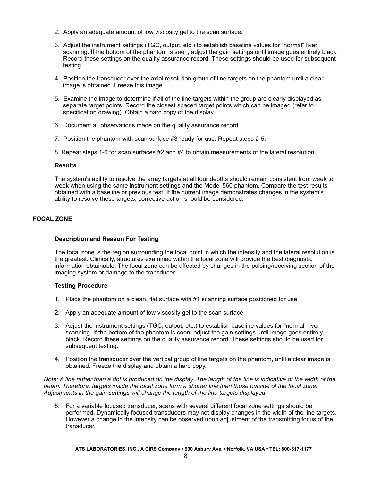- 2. Apply an adequate amount of low viscosity gel to the scan surface.
- 3. Adjust the instrument settings (TGC, output, etc.) to establish baseline values for "normal" liver scanning. If the bottom of the phantom is seen, adjust the gain settings until image goes entirely black. Record these settings on the quality assurance record. These settings should be used for subsequent testing.
- 4. Position the transducer over the axial resolution group of line targets on the phantom until a clear image is obtained. Freeze this image.
- 5. Examine the image to determine if all of the line targets within the group are clearly displayed as separate target points. Record the closest spaced target points which can be imaged (refer to specification drawing). Obtain a hard copy of the display.
- 6. Document all observations made on the quality assurance record.
- 7. Position the phantom with scan surface #3 ready for use. Repeat steps 2-5.
- 8. Repeat steps 1-6 for scan surfaces #2 and #4 to obtain measurements of the lateral resolution.

The system's ability to resolve the array targets at all four depths should remain consistent from week to week when using the same instrument settings and the Model 560 phantom. Compare the test results obtained with a baseline or previous test. If the current image demonstrates changes in the system's ability to resolve these targets, corrective action should be considered.

# **FOCAL ZONE**

# **Description and Reason For Testing**

The focal zone is the region surrounding the focal point in which the intensity and the lateral resolution is the greatest. Clinically, structures examined within the focal zone will provide the best diagnostic information obtainable. The focal zone can be affected by changes in the pulsing/receiving section of the imaging system or damage to the transducer.

# **Testing Procedure**

- 1. Place the phantom on a clean, flat surface with #1 scanning surface positioned for use.
- 2. Apply an adequate amount of low viscosity gel to the scan surface.
- 3. Adjust the instrument settings (TGC, output, etc.) to establish baseline values for "normal" liver scanning. If the bottom of the phantom is seen, adjust the gain settings until image goes entirely black. Record these settings on the quality assurance record. These settings should be used for subsequent testing.
- 4. Position the transducer over the vertical group of line targets on the phantom, until a clear image is obtained. Freeze the display and obtain a hard copy.

*Note: A line rather than a dot is produced on the display. The length of the line is indicative of the width of the beam. Therefore, targets inside the focal zone form a shorter line than those outside of the focal zone. Adjustments in the gain settings will change the length of the line targets displayed.* 

5. For a variable focused transducer, scans with several different focal zone settings should be performed. Dynamically focused transducers may not display changes in the width of the line targets. However a change in the intensity can be observed upon adjustment of the transmitting focus of the transducer.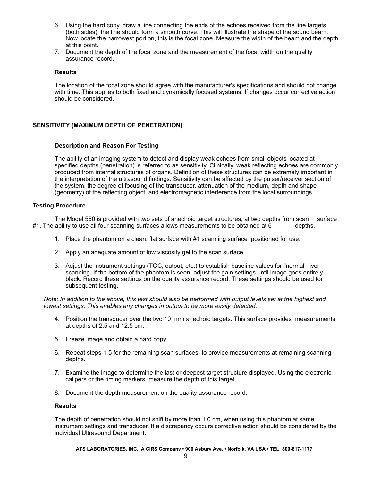- 6. Using the hard copy, draw a line connecting the ends of the echoes received from the line targets (both sides), the line should form a smooth curve. This will illustrate the shape of the sound beam. Now locate the narrowest portion, this is the focal zone. Measure the width of the beam and the depth at this point.
- 7. Document the depth of the focal zone and the measurement of the focal width on the quality assurance record.

The location of the focal zone should agree with the manufacturer's specifications and should not change with time. This applies to both fixed and dynamically focused systems. If changes occur corrective action should be considered.

# **SENSITIVITY (MAXIMUM DEPTH OF PENETRATION)**

# **Description and Reason For Testing**

The ability of an imaging system to detect and display weak echoes from small objects located at specified depths (penetration) is referred to as sensitivity. Clinically, weak reflecting echoes are commonly produced from internal structures of organs. Definition of these structures can be extremely important in the interpretation of the ultrasound findings. Sensitivity can be affected by the pulser/receiver section of the system, the degree of focusing of the transducer, attenuation of the medium, depth and shape (geometry) of the reflecting object, and electromagnetic interference from the local surroundings.

# **Testing Procedure**

The Model 560 is provided with two sets of anechoic target structures, at two depths from scan surface  $#1$ . The ability to use all four scanning surfaces allows measurements to be obtained at  $6$  depths.

- 1. Place the phantom on a clean, flat surface with #1 scanning surface positioned for use.
- 2. Apply an adequate amount of low viscosity gel to the scan surface.
- 3. Adjust the instrument settings (TGC, output, etc.) to establish baseline values for "normal" liver scanning. If the bottom of the phantom is seen, adjust the gain settings until image goes entirely black. Record these settings on the quality assurance record. These settings should be used for subsequent testing.

*Note: In addition to the above, this test should also be performed with output levels set at the highest and lowest settings. This enables any changes in output to be more easily detected.* 

- 4. Position the transducer over the two 10 mm anechoic targets. This surface provides measurements at depths of 2.5 and 12.5 cm.
- 5. Freeze image and obtain a hard copy.
- 6. Repeat steps 1-5 for the remaining scan surfaces, to provide measurements at remaining scanning depths.
- 7. Examine the image to determine the last or deepest target structure displayed. Using the electronic calipers or the timing markers measure the depth of this target.
- 8. Document the depth measurement on the quality assurance record.

#### **Results**

The depth of penetration should not shift by more than 1.0 cm, when using this phantom at same instrument settings and transducer. If a discrepancy occurs corrective action should be considered by the individual Ultrasound Department.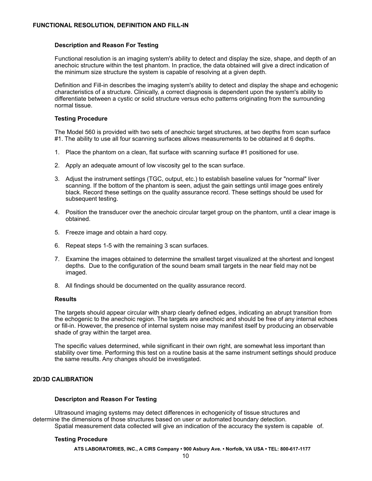# **Description and Reason For Testing**

Functional resolution is an imaging system's ability to detect and display the size, shape, and depth of an anechoic structure within the test phantom. In practice, the data obtained will give a direct indication of the minimum size structure the system is capable of resolving at a given depth.

Definition and Fill-in describes the imaging system's ability to detect and display the shape and echogenic characteristics of a structure. Clinically, a correct diagnosis is dependent upon the system's ability to differentiate between a cystic or solid structure versus echo patterns originating from the surrounding normal tissue.

# **Testing Procedure**

The Model 560 is provided with two sets of anechoic target structures, at two depths from scan surface #1. The ability to use all four scanning surfaces allows measurements to be obtained at 6 depths.

- 1. Place the phantom on a clean, flat surface with scanning surface #1 positioned for use.
- 2. Apply an adequate amount of low viscosity gel to the scan surface.
- 3. Adjust the instrument settings (TGC, output, etc.) to establish baseline values for "normal" liver scanning. If the bottom of the phantom is seen, adjust the gain settings until image goes entirely black. Record these settings on the quality assurance record. These settings should be used for subsequent testing.
- 4. Position the transducer over the anechoic circular target group on the phantom, until a clear image is obtained.
- 5. Freeze image and obtain a hard copy.
- 6. Repeat steps 1-5 with the remaining 3 scan surfaces.
- 7. Examine the images obtained to determine the smallest target visualized at the shortest and longest depths. Due to the configuration of the sound beam small targets in the near field may not be imaged.
- 8. All findings should be documented on the quality assurance record.

# **Results**

The targets should appear circular with sharp clearly defined edges, indicating an abrupt transition from the echogenic to the anechoic region. The targets are anechoic and should be free of any internal echoes or fill-in. However, the presence of internal system noise may manifest itself by producing an observable shade of gray within the target area.

The specific values determined, while significant in their own right, are somewhat less important than stability over time. Performing this test on a routine basis at the same instrument settings should produce the same results. Any changes should be investigated.

# **2D/3D CALIBRATION**

# **Descripton and Reason For Testing**

Ultrasound imaging systems may detect differences in echogenicity of tissue structures and determine the dimensions of those structures based on user or automated boundary detection. Spatial measurement data collected will give an indication of the accuracy the system is capable of.

# **Testing Procedure**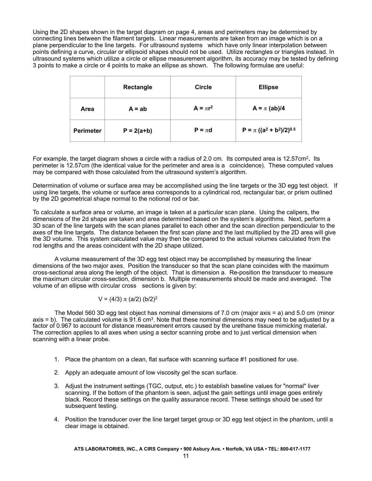Using the 2D shapes shown in the target diagram on page 4, areas and perimeters may be determined by connecting lines between the filament targets. Linear measurements are taken from an image which is on a plane perpendicular to the line targets. For ultrasound systems which have only linear interpolation between points defining a curve, circular or ellipsoid shapes should not be used. Utilize rectangles or triangles instead. In ultrasound systems which utilize a circle or ellipse measurement algorithm, its accuracy may be tested by defining 3 points to make a circle or 4 points to make an ellipse as shown. The following formulae are useful:

|                  | Rectangle    | <b>Circle</b> | <b>Ellipse</b>                  |
|------------------|--------------|---------------|---------------------------------|
| Area             | $A = ab$     | $A = \pi r^2$ | $A = \pi (ab)/4$                |
| <b>Perimeter</b> | $P = 2(a+b)$ | $P = \pi d$   | $P = \pi ((a^2 + b^2)/2)^{0.5}$ |

For example, the target diagram shows a circle with a radius of 2.0 cm. Its computed area is 12.57cm<sup>2</sup> **.** Its perimeter is 12.57cm (the identical value for the perimeter and area is a coincidence). These computed values may be compared with those calculated from the ultrasound system's algorithm.

Determination of volume or surface area may be accomplished using the line targets or the 3D egg test object. If using line targets, the volume or surface area corresponds to a cylindrical rod, rectangular bar, or prism outlined by the 2D geometrical shape normal to the notional rod or bar.

To calculate a surface area or volume, an image is taken at a particular scan plane. Using the calipers, the dimensions of the 2d shape are taken and area determined based on the system's algorithms. Next, perform a 3D scan of the line targets with the scan planes parallel to each other and the scan direction perpendicular to the axes of the line targets. The distance between the first scan plane and the last multiplied by the 2D area will give the 3D volume. This system calculated value may then be compared to the actual volumes calculated from the rod lengths and the areas coincident with the 2D shape utilized.

A volume measurement of the 3D egg test object may be accomplished by measuring the linear dimensions of the two major axes. Position the transducer so that the scan plane coincides with the maximum cross-sectional area along the length of the object. That is dimension a. Re-position the transducer to measure the maximum circular cross-section, dimension b. Multiple measurements should be made and averaged. The volume of an ellipse with circular cross sections is given by:

$$
V = (4/3) \pi (a/2) (b/2)^2
$$

The Model 560 3D egg test object has nominal dimensions of 7.0 cm (major axis = a) and 5.0 cm (minor axis = b). The calculated volume is  $91.6$  cm<sup>3</sup>. Note that these nominal dimensions may need to be adjusted by a factor of 0.967 to account for distance measurement errors caused by the urethane tissue mimicking material. The correction applies to all axes when using a sector scanning probe and to just vertical dimension when scanning with a linear probe.

- 1. Place the phantom on a clean, flat surface with scanning surface #1 positioned for use.
- 2. Apply an adequate amount of low viscosity gel the scan surface.
- 3. Adjust the instrument settings (TGC, output, etc.) to establish baseline values for "normal" liver scanning. If the bottom of the phantom is seen, adjust the gain settings until image goes entirely black. Record these settings on the quality assurance record. These settings should be used for subsequent testing.
- 4. Position the transducer over the line target target group or 3D egg test object in the phantom, until a clear image is obtained.